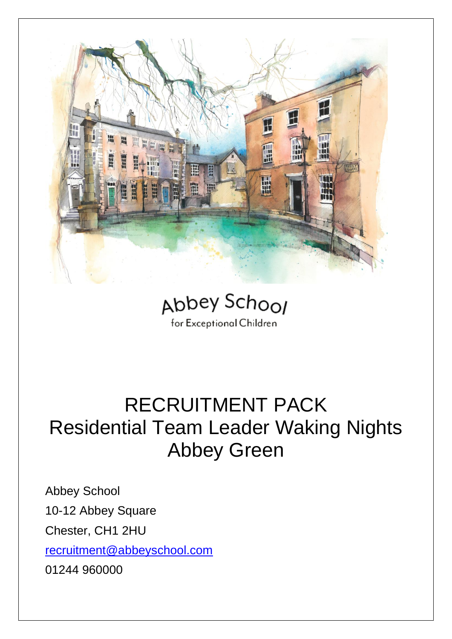



### RECRUITMENT PACK Residential Team Leader Waking Nights Abbey Green

Abbey School 10-12 Abbey Square Chester, CH1 2HU [recruitment@abbeyschool.com](mailto:recruitment@abbeyschool.com) 01244 960000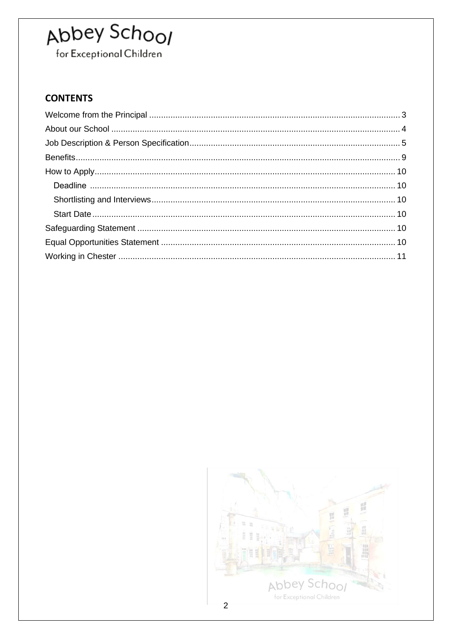for Exceptional Children

### **CONTENTS**

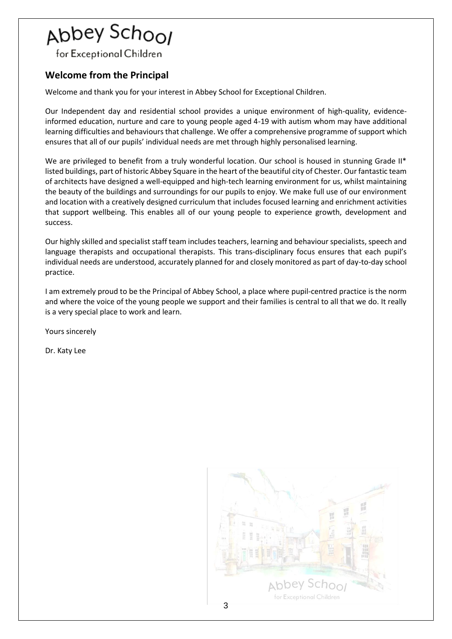for Exceptional Children

### <span id="page-2-0"></span>**Welcome from the Principal**

Welcome and thank you for your interest in Abbey School for Exceptional Children.

Our Independent day and residential school provides a unique environment of high-quality, evidenceinformed education, nurture and care to young people aged 4-19 with autism whom may have additional learning difficulties and behaviours that challenge. We offer a comprehensive programme of support which ensures that all of our pupils' individual needs are met through highly personalised learning.

We are privileged to benefit from a truly wonderful location. Our school is housed in stunning Grade II\* listed buildings, part of historic Abbey Square in the heart of the beautiful city of Chester. Our fantastic team of architects have designed a well-equipped and high-tech learning environment for us, whilst maintaining the beauty of the buildings and surroundings for our pupils to enjoy. We make full use of our environment and location with a creatively designed curriculum that includes focused learning and enrichment activities that support wellbeing. This enables all of our young people to experience growth, development and success.

Our highly skilled and specialist staff team includes teachers, learning and behaviour specialists, speech and language therapists and occupational therapists. This trans-disciplinary focus ensures that each pupil's individual needs are understood, accurately planned for and closely monitored as part of day-to-day school practice.

I am extremely proud to be the Principal of Abbey School, a place where pupil-centred practice is the norm and where the voice of the young people we support and their families is central to all that we do. It really is a very special place to work and learn.

Yours sincerely

Dr. Katy Lee

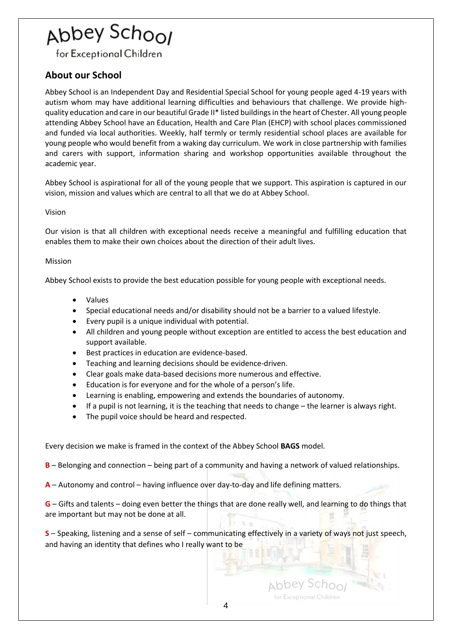## Abbey Scho<sub>Ol</sub>

for Exceptional Children

### <span id="page-3-0"></span>**About our School**

Abbey School is an Independent Day and Residential Special School for young people aged 4-19 years with autism whom may have additional learning difficulties and behaviours that challenge. We provide highquality education and care in our beautiful Grade II\* listed buildings in the heart of Chester. All young people attending Abbey School have an Education, Health and Care Plan (EHCP) with school places commissioned and funded via local authorities. Weekly, half termly or termly residential school places are available for young people who would benefit from a waking day curriculum. We work in close partnership with families and carers with support, information sharing and workshop opportunities available throughout the academic year.

Abbey School is aspirational for all of the young people that we support. This aspiration is captured in our vision, mission and values which are central to all that we do at Abbey School.

#### Vision

Our vision is that all children with exceptional needs receive a meaningful and fulfilling education that enables them to make their own choices about the direction of their adult lives.

#### Mission

Abbey School exists to provide the best education possible for young people with exceptional needs.

- Values
- Special educational needs and/or disability should not be a barrier to a valued lifestyle.
- Every pupil is a unique individual with potential.
- All children and young people without exception are entitled to access the best education and support available.
- Best practices in education are evidence-based.
- Teaching and learning decisions should be evidence-driven.
- Clear goals make data-based decisions more numerous and effective.
- Education is for everyone and for the whole of a person's life.
- Learning is enabling, empowering and extends the boundaries of autonomy.
- If a pupil is not learning, it is the teaching that needs to change the learner is always right.
- The pupil voice should be heard and respected.

Every decision we make is framed in the context of the Abbey School **BAGS** model.

**B** – Belonging and connection – being part of a community and having a network of valued relationships.

**A** – Autonomy and control – having influence over day-to-day and life defining matters.

**G** – Gifts and talents – doing even better the things that are done really well, and learning to do things that are important but may not be done at all.

**S** – Speaking, listening and a sense of self – communicating effectively in a variety of ways not just speech, and having an identity that defines who I really want to be

Abbey Schoo for Exceptional Children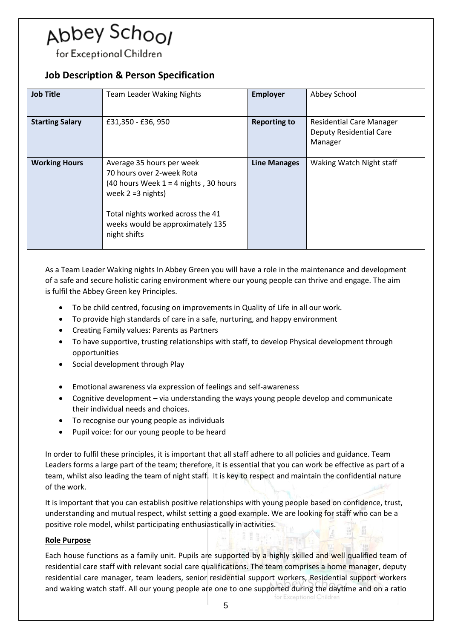## Abbey Scho<sub>Ol</sub>

for Exceptional Children

### <span id="page-4-0"></span>**Job Description & Person Specification**

| <b>Job Title</b>       | <b>Team Leader Waking Nights</b>                                                                                                                                                                                   | <b>Employer</b>     | Abbey School                                                                 |
|------------------------|--------------------------------------------------------------------------------------------------------------------------------------------------------------------------------------------------------------------|---------------------|------------------------------------------------------------------------------|
| <b>Starting Salary</b> | £31,350 - £36,950                                                                                                                                                                                                  | <b>Reporting to</b> | <b>Residential Care Manager</b><br><b>Deputy Residential Care</b><br>Manager |
| <b>Working Hours</b>   | Average 35 hours per week<br>70 hours over 2-week Rota<br>(40 hours Week $1 = 4$ nights, 30 hours<br>week $2 = 3$ nights)<br>Total nights worked across the 41<br>weeks would be approximately 135<br>night shifts | <b>Line Manages</b> | Waking Watch Night staff                                                     |

As a Team Leader Waking nights In Abbey Green you will have a role in the maintenance and development of a safe and secure holistic caring environment where our young people can thrive and engage. The aim is fulfil the Abbey Green key Principles.

- To be child centred, focusing on improvements in Quality of Life in all our work.
- To provide high standards of care in a safe, nurturing, and happy environment
- Creating Family values: Parents as Partners
- To have supportive, trusting relationships with staff, to develop Physical development through opportunities
- Social development through Play
- Emotional awareness via expression of feelings and self-awareness
- Cognitive development via understanding the ways young people develop and communicate their individual needs and choices.
- To recognise our young people as individuals
- Pupil voice: for our young people to be heard

In order to fulfil these principles, it is important that all staff adhere to all policies and guidance. Team Leaders forms a large part of the team; therefore, it is essential that you can work be effective as part of a team, whilst also leading the team of night staff. It is key to respect and maintain the confidential nature of the work.

It is important that you can establish positive relationships with young people based on confidence, trust, understanding and mutual respect, whilst setting a good example. We are looking for staff who can be a positive role model, whilst participating enthusiastically in activities.

#### **Role Purpose**

Each house functions as a family unit. Pupils are supported by a highly skilled and well qualified team of residential care staff with relevant social care qualifications. The team comprises a home manager, deputy residential care manager, team leaders, senior residential support workers, Residential support workers and waking watch staff. All our young people are one to one supported during the daytime and on a ratio for Exceptional Children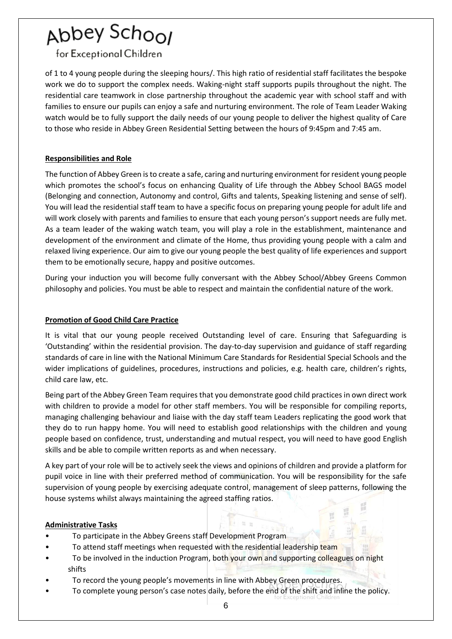for Exceptional Children

of 1 to 4 young people during the sleeping hours/. This high ratio of residential staff facilitates the bespoke work we do to support the complex needs. Waking-night staff supports pupils throughout the night. The residential care teamwork in close partnership throughout the academic year with school staff and with families to ensure our pupils can enjoy a safe and nurturing environment. The role of Team Leader Waking watch would be to fully support the daily needs of our young people to deliver the highest quality of Care to those who reside in Abbey Green Residential Setting between the hours of 9:45pm and 7:45 am.

### **Responsibilities and Role**

The function of Abbey Green is to create a safe, caring and nurturing environment for resident young people which promotes the school's focus on enhancing Quality of Life through the Abbey School BAGS model (Belonging and connection, Autonomy and control, Gifts and talents, Speaking listening and sense of self). You will lead the residential staff team to have a specific focus on preparing young people for adult life and will work closely with parents and families to ensure that each young person's support needs are fully met. As a team leader of the waking watch team, you will play a role in the establishment, maintenance and development of the environment and climate of the Home, thus providing young people with a calm and relaxed living experience. Our aim to give our young people the best quality of life experiences and support them to be emotionally secure, happy and positive outcomes.

During your induction you will become fully conversant with the Abbey School/Abbey Greens Common philosophy and policies. You must be able to respect and maintain the confidential nature of the work.

#### **Promotion of Good Child Care Practice**

It is vital that our young people received Outstanding level of care. Ensuring that Safeguarding is 'Outstanding' within the residential provision. The day-to-day supervision and guidance of staff regarding standards of care in line with the National Minimum Care Standards for Residential Special Schools and the wider implications of guidelines, procedures, instructions and policies, e.g. health care, children's rights, child care law, etc.

Being part of the Abbey Green Team requires that you demonstrate good child practices in own direct work with children to provide a model for other staff members. You will be responsible for compiling reports, managing challenging behaviour and liaise with the day staff team Leaders replicating the good work that they do to run happy home. You will need to establish good relationships with the children and young people based on confidence, trust, understanding and mutual respect, you will need to have good English skills and be able to compile written reports as and when necessary.

A key part of your role will be to actively seek the views and opinions of children and provide a platform for pupil voice in line with their preferred method of communication. You will be responsibility for the safe supervision of young people by exercising adequate control, management of sleep patterns, following the house systems whilst always maintaining the agreed staffing ratios.

图 10

#### **Administrative Tasks**

- To participate in the Abbey Greens staff Development Program
- To attend staff meetings when requested with the residential leadership team
- To be involved in the induction Program, both your own and supporting colleagues on night shifts
- To record the young people's movements in line with Abbey Green procedures.
- To complete young person's case notes daily, before the end of the shift and inline the policy.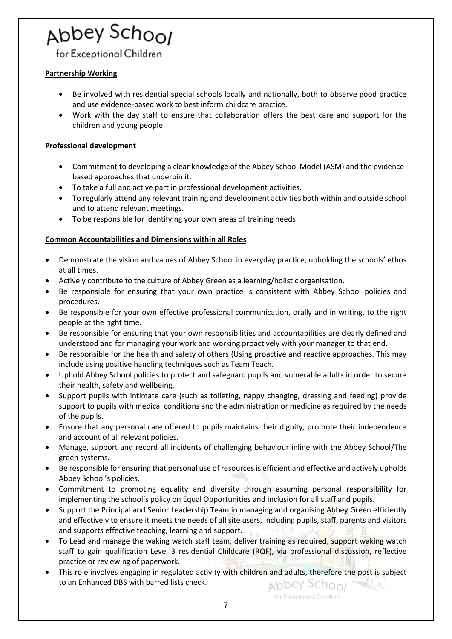## Abbey Scho<sub>Ol</sub>

for Exceptional Children

### **Partnership Working**

- Be involved with residential special schools locally and nationally, both to observe good practice and use evidence-based work to best inform childcare practice.
- Work with the day staff to ensure that collaboration offers the best care and support for the children and young people.

#### **Professional development**

- Commitment to developing a clear knowledge of the Abbey School Model (ASM) and the evidencebased approaches that underpin it.
- To take a full and active part in professional development activities.
- To regularly attend any relevant training and development activities both within and outside school and to attend relevant meetings.
- To be responsible for identifying your own areas of training needs

#### **Common Accountabilities and Dimensions within all Roles**

- Demonstrate the vision and values of Abbey School in everyday practice, upholding the schools' ethos at all times.
- Actively contribute to the culture of Abbey Green as a learning/holistic organisation.
- Be responsible for ensuring that your own practice is consistent with Abbey School policies and procedures.
- Be responsible for your own effective professional communication, orally and in writing, to the right people at the right time.
- Be responsible for ensuring that your own responsibilities and accountabilities are clearly defined and understood and for managing your work and working proactively with your manager to that end.
- Be responsible for the health and safety of others (Using proactive and reactive approaches. This may include using positive handling techniques such as Team Teach.
- Uphold Abbey School policies to protect and safeguard pupils and vulnerable adults in order to secure their health, safety and wellbeing.
- Support pupils with intimate care (such as toileting, nappy changing, dressing and feeding) provide support to pupils with medical conditions and the administration or medicine as required by the needs of the pupils.
- Ensure that any personal care offered to pupils maintains their dignity, promote their independence and account of all relevant policies.
- Manage, support and record all incidents of challenging behaviour inline with the Abbey School/The green systems.
- Be responsible for ensuring that personal use of resources is efficient and effective and actively upholds Abbey School's policies.
- Commitment to promoting equality and diversity through assuming personal responsibility for implementing the school's policy on Equal Opportunities and inclusion for all staff and pupils.
- Support the Principal and Senior Leadership Team in managing and organising Abbey Green efficiently and effectively to ensure it meets the needs of all site users, including pupils, staff, parents and visitors and supports effective teaching, learning and support.
- To Lead and manage the waking watch staff team, deliver training as required, support waking watch staff to gain qualification Level 3 residential Childcare (RQF), via professional discussion, reflective practice or reviewing of paperwork.
- This role involves engaging in regulated activity with children and adults, therefore the post is subject to an Enhanced DBS with barred lists check. Abbey School

for Exceptional Children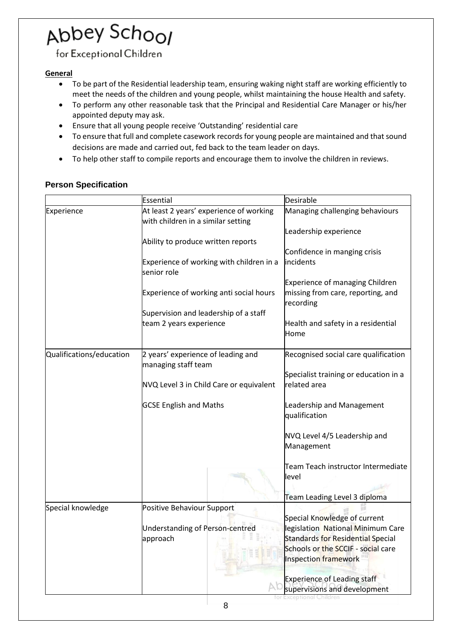for Exceptional Children

### **General**

- To be part of the Residential leadership team, ensuring waking night staff are working efficiently to meet the needs of the children and young people, whilst maintaining the house Health and safety.
- To perform any other reasonable task that the Principal and Residential Care Manager or his/her appointed deputy may ask.
- Ensure that all young people receive 'Outstanding' residential care
- To ensure that full and complete casework records for young people are maintained and that sound decisions are made and carried out, fed back to the team leader on days.
- To help other staff to compile reports and encourage them to involve the children in reviews.

### **Person Specification**

|                          | Essential                                                                     | Desirable                                                                     |
|--------------------------|-------------------------------------------------------------------------------|-------------------------------------------------------------------------------|
| Experience               | At least 2 years' experience of working<br>with children in a similar setting | Managing challenging behaviours                                               |
|                          |                                                                               | Leadership experience                                                         |
|                          | Ability to produce written reports                                            |                                                                               |
|                          |                                                                               | Confidence in manging crisis<br>incidents                                     |
|                          | Experience of working with children in a<br>senior role                       |                                                                               |
|                          |                                                                               | Experience of managing Children                                               |
|                          | Experience of working anti social hours                                       | missing from care, reporting, and<br>recording                                |
|                          | Supervision and leadership of a staff                                         |                                                                               |
|                          | team 2 years experience                                                       | Health and safety in a residential<br>Home                                    |
| Qualifications/education | 2 years' experience of leading and                                            | Recognised social care qualification                                          |
|                          | managing staff team                                                           |                                                                               |
|                          | NVQ Level 3 in Child Care or equivalent                                       | Specialist training or education in a<br>related area                         |
|                          |                                                                               |                                                                               |
|                          | <b>GCSE English and Maths</b>                                                 | Leadership and Management<br>qualification                                    |
|                          |                                                                               | NVQ Level 4/5 Leadership and<br>Management                                    |
|                          |                                                                               | Team Teach instructor Intermediate<br>level                                   |
|                          |                                                                               | Team Leading Level 3 diploma                                                  |
| Special knowledge        | Positive Behaviour Support                                                    |                                                                               |
|                          |                                                                               | Special Knowledge of current                                                  |
|                          | Understanding of Person-centred<br>approach                                   | legislation National Minimum Care<br><b>Standards for Residential Special</b> |
|                          |                                                                               | Schools or the SCCIF - social care<br>Inspection framework                    |
|                          |                                                                               | <b>Experience of Leading staff</b><br>supervisions and development            |
|                          |                                                                               |                                                                               |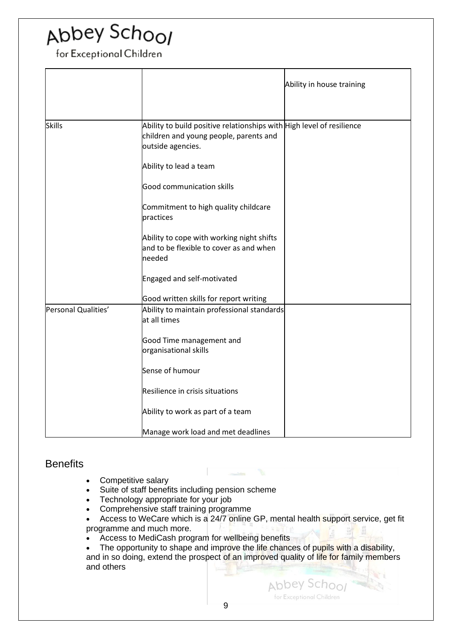for Exceptional Children

|                     | Ability in house training                                                                                                            |
|---------------------|--------------------------------------------------------------------------------------------------------------------------------------|
| Skills              | Ability to build positive relationships with High level of resilience<br>children and young people, parents and<br>outside agencies. |
|                     | Ability to lead a team                                                                                                               |
|                     | Good communication skills                                                                                                            |
|                     | Commitment to high quality childcare<br>practices                                                                                    |
|                     | Ability to cope with working night shifts<br>and to be flexible to cover as and when<br>needed                                       |
|                     | Engaged and self-motivated                                                                                                           |
|                     | Good written skills for report writing                                                                                               |
| Personal Qualities' | Ability to maintain professional standards<br>at all times                                                                           |
|                     | Good Time management and<br>organisational skills                                                                                    |
|                     | Sense of humour                                                                                                                      |
|                     | Resilience in crisis situations                                                                                                      |
|                     | Ability to work as part of a team                                                                                                    |
|                     | Manage work load and met deadlines                                                                                                   |

### <span id="page-8-0"></span>**Benefits**

- Competitive salary
- Suite of staff benefits including pension scheme
- Technology appropriate for your job
- Comprehensive staff training programme
- Access to WeCare which is a 24/7 online GP, mental health support service, get fit programme and much more.
- Access to MediCash program for wellbeing benefits

The opportunity to shape and improve the life chances of pupils with a disability, and in so doing, extend the prospect of an improved quality of life for family members and others

> Abbey School for Exceptional Children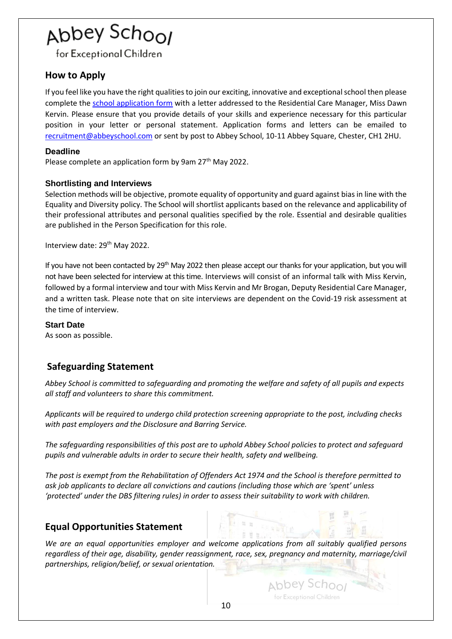for Exceptional Children

### <span id="page-9-0"></span>**How to Apply**

If you feel like you have the right qualities to join our exciting, innovative and exceptional school then please complete the [school application form](https://www.abbeyschool.com/recruitment/) with a letter addressed to the Residential Care Manager, Miss Dawn Kervin. Please ensure that you provide details of your skills and experience necessary for this particular position in your letter or personal statement. Application forms and letters can be emailed to [recruitment@abbeyschool.com](mailto:recruitment@abbeyschool.com) or sent by post to Abbey School, 10-11 Abbey Square, Chester, CH1 2HU.

#### <span id="page-9-1"></span>**Deadline**

Please complete an application form by 9am 27<sup>th</sup> May 2022.

### <span id="page-9-2"></span>**Shortlisting and Interviews**

Selection methods will be objective, promote equality of opportunity and guard against bias in line with the Equality and Diversity policy. The School will shortlist applicants based on the relevance and applicability of their professional attributes and personal qualities specified by the role. Essential and desirable qualities are published in the Person Specification for this role.

Interview date: 29<sup>th</sup> May 2022.

If you have not been contacted by  $29<sup>th</sup>$  May 2022 then please accept our thanks for your application, but you will not have been selected for interview at this time. Interviews will consist of an informal talk with Miss Kervin, followed by a formal interview and tour with Miss Kervin and Mr Brogan, Deputy Residential Care Manager, and a written task. Please note that on site interviews are dependent on the Covid-19 risk assessment at the time of interview.

### <span id="page-9-3"></span>**Start Date**

As soon as possible.

### <span id="page-9-4"></span>**Safeguarding Statement**

*Abbey School is committed to safeguarding and promoting the welfare and safety of all pupils and expects all staff and volunteers to share this commitment.*

*Applicants will be required to undergo child protection screening appropriate to the post, including checks with past employers and the Disclosure and Barring Service.*

*The safeguarding responsibilities of this post are to uphold Abbey School policies to protect and safeguard pupils and vulnerable adults in order to secure their health, safety and wellbeing.*

*The post is exempt from the Rehabilitation of Offenders Act 1974 and the School is therefore permitted to ask job applicants to declare all convictions and cautions (including those which are 'spent' unless 'protected' under the DBS filtering rules) in order to assess their suitability to work with children.*  

### <span id="page-9-5"></span>**Equal Opportunities Statement**

*We are an equal opportunities employer and welcome applications from all suitably qualified persons regardless of their age, disability, gender reassignment, race, sex, pregnancy and maternity, marriage/civil partnerships, religion/belief, or sexual orientation.*

Abbey School for Exceptional Children